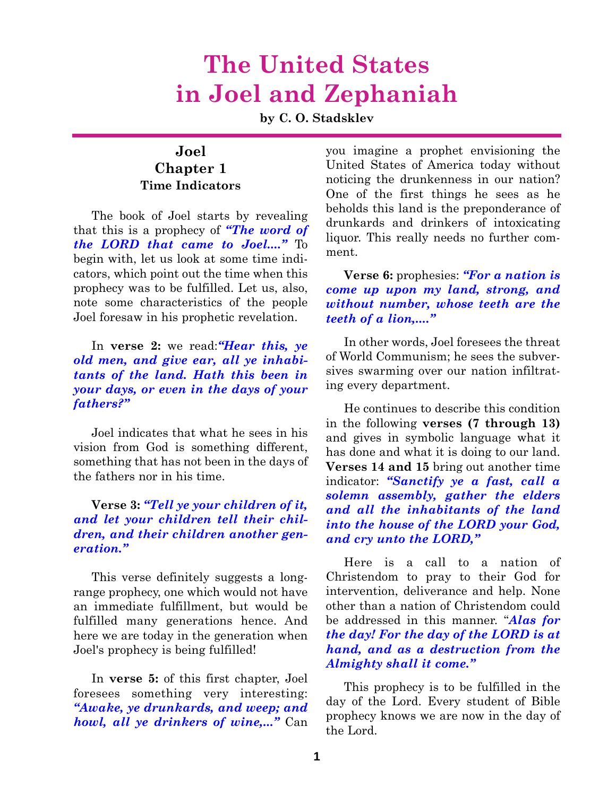## **The United States in Joel and Zephaniah**

**by C. O. Stadsklev**

#### **Joel Chapter 1 Time Indicators**

The book of Joel starts by revealing that this is a prophecy of *"The word of the LORD that came to Joel...."* To begin with, let us look at some time indicators, which point out the time when this prophecy was to be fulfilled. Let us, also, note some characteristics of the people Joel foresaw in his prophetic revelation.

#### In **verse 2:** we read:*"Hear this, ye old men, and give ear, all ye inhabitants of the land. Hath this been in your days, or even in the days of your fathers?"*

Joel indicates that what he sees in his vision from God is something different, something that has not been in the days of the fathers nor in his time.

#### **Verse 3:** *"Tell ye your children of it, and let your children tell their children, and their children another generation."*

This verse definitely suggests a longrange prophecy, one which would not have an immediate fulfillment, but would be fulfilled many generations hence. And here we are today in the generation when Joel's prophecy is being fulfilled!

In **verse 5:** of this first chapter, Joel foresees something very interesting: *"Awake, ye drunkards, and weep; and howl, all ye drinkers of wine,..."* Can you imagine a prophet envisioning the United States of America today without noticing the drunkenness in our nation? One of the first things he sees as he beholds this land is the preponderance of drunkards and drinkers of intoxicating liquor. This really needs no further comment.

#### **Verse 6:** prophesies: *"For a nation is come up upon my land, strong, and without number, whose teeth are the teeth of a lion,...."*

In other words, Joel foresees the threat of World Communism; he sees the subversives swarming over our nation infiltrating every department.

He continues to describe this condition in the following **verses (7 through 13)** and gives in symbolic language what it has done and what it is doing to our land. **Verses 14 and 15** bring out another time indicator: *"Sanctify ye a fast, call a solemn assembly, gather the elders and all the inhabitants of the land into the house of the LORD your God, and cry unto the LORD,"*

Here is a call to a nation of Christendom to pray to their God for intervention, deliverance and help. None other than a nation of Christendom could be addressed in this manner. "*Alas for the day! For the day of the LORD is at hand, and as a destruction from the Almighty shall it come."*

This prophecy is to be fulfilled in the day of the Lord. Every student of Bible prophecy knows we are now in the day of the Lord.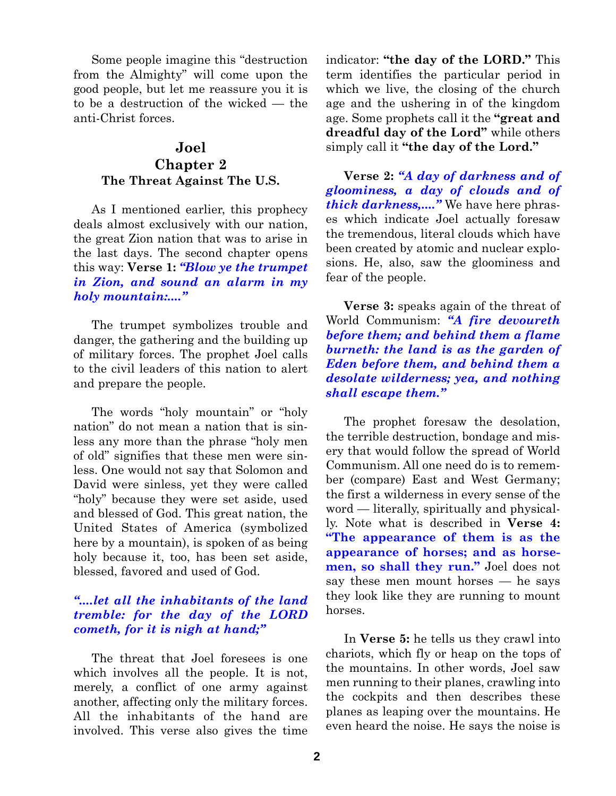Some people imagine this "destruction from the Almighty" will come upon the good people, but let me reassure you it is to be a destruction of the wicked — the anti-Christ forces.

#### **Joel**

#### **Chapter 2 The Threat Against The U.S.**

As I mentioned earlier, this prophecy deals almost exclusively with our nation, the great Zion nation that was to arise in the last days. The second chapter opens this way: **Verse 1:** *"Blow ye the trumpet in Zion, and sound an alarm in my holy mountain:...."*

The trumpet symbolizes trouble and danger, the gathering and the building up of military forces. The prophet Joel calls to the civil leaders of this nation to alert and prepare the people.

The words "holy mountain" or "holy nation" do not mean a nation that is sinless any more than the phrase "holy men of old" signifies that these men were sinless. One would not say that Solomon and David were sinless, yet they were called "holy" because they were set aside, used and blessed of God. This great nation, the United States of America (symbolized here by a mountain), is spoken of as being holy because it, too, has been set aside, blessed, favored and used of God.

#### *"....let all the inhabitants of the land tremble: for the day of the LORD cometh, for it is nigh at hand;"*

The threat that Joel foresees is one which involves all the people. It is not, merely, a conflict of one army against another, affecting only the military forces. All the inhabitants of the hand are involved. This verse also gives the time indicator: **"the day of the LORD."** This term identifies the particular period in which we live, the closing of the church age and the ushering in of the kingdom age. Some prophets call it the **"great and dreadful day of the Lord"** while others simply call it **"the day of the Lord."**

**Verse 2:** *"A day of darkness and of gloominess, a day of clouds and of thick darkness,...."* We have here phrases which indicate Joel actually foresaw the tremendous, literal clouds which have been created by atomic and nuclear explosions. He, also, saw the gloominess and fear of the people.

**Verse 3:** speaks again of the threat of World Communism: *"A fire devoureth before them; and behind them a flame burneth: the land is as the garden of Eden before them, and behind them a desolate wilderness; yea, and nothing shall escape them."*

The prophet foresaw the desolation, the terrible destruction, bondage and misery that would follow the spread of World Communism. All one need do is to remember (compare) East and West Germany; the first a wilderness in every sense of the word — literally, spiritually and physically. Note what is described in **Verse 4: "The appearance of them is as the appearance of horses; and as horsemen, so shall they run."** Joel does not say these men mount horses — he says they look like they are running to mount horses.

In **Verse 5:** he tells us they crawl into chariots, which fly or heap on the tops of the mountains. In other words, Joel saw men running to their planes, crawling into the cockpits and then describes these planes as leaping over the mountains. He even heard the noise. He says the noise is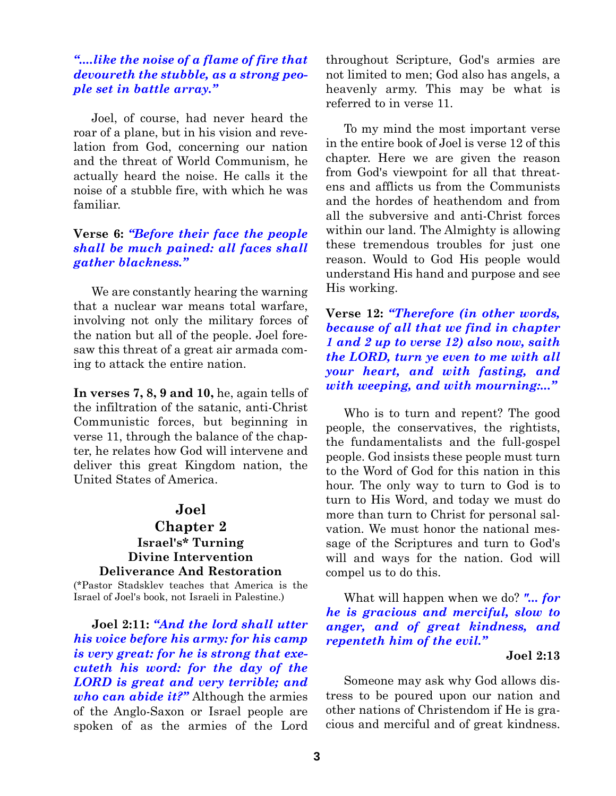#### *"....like the noise of a flame of fire that devoureth the stubble, as a strong people set in battle array."*

Joel, of course, had never heard the roar of a plane, but in his vision and revelation from God, concerning our nation and the threat of World Communism, he actually heard the noise. He calls it the noise of a stubble fire, with which he was familiar.

#### **Verse 6:** *"Before their face the people shall be much pained: all faces shall gather blackness."*

We are constantly hearing the warning that a nuclear war means total warfare, involving not only the military forces of the nation but all of the people. Joel foresaw this threat of a great air armada coming to attack the entire nation.

**In verses 7, 8, 9 and 10,** he, again tells of the infiltration of the satanic, anti-Christ Communistic forces, but beginning in verse 11, through the balance of the chapter, he relates how God will intervene and deliver this great Kingdom nation, the United States of America.

#### **Joel**

#### **Chapter 2 Israel's\* Turning Divine Intervention Deliverance And Restoration**

(\*Pastor Stadsklev teaches that America is the Israel of Joel's book, not Israeli in Palestine.)

**Joel 2:11:** *"And the lord shall utter his voice before his army: for his camp is very great: for he is strong that executeth his word: for the day of the LORD is great and very terrible; and who can abide it?"* Although the armies of the Anglo-Saxon or Israel people are spoken of as the armies of the Lord

throughout Scripture, God's armies are not limited to men; God also has angels, a heavenly army. This may be what is referred to in verse 11.

To my mind the most important verse in the entire book of Joel is verse 12 of this chapter. Here we are given the reason from God's viewpoint for all that threatens and afflicts us from the Communists and the hordes of heathendom and from all the subversive and anti-Christ forces within our land. The Almighty is allowing these tremendous troubles for just one reason. Would to God His people would understand His hand and purpose and see His working.

**Verse 12:** *"Therefore (in other words, because of all that we find in chapter 1 and 2 up to verse 12) also now, saith the LORD, turn ye even to me with all your heart, and with fasting, and with weeping, and with mourning:..."*

Who is to turn and repent? The good people, the conservatives, the rightists, the fundamentalists and the full-gospel people. God insists these people must turn to the Word of God for this nation in this hour. The only way to turn to God is to turn to His Word, and today we must do more than turn to Christ for personal salvation. We must honor the national message of the Scriptures and turn to God's will and ways for the nation. God will compel us to do this.

What will happen when we do? *"... for he is gracious and merciful, slow to anger, and of great kindness, and repenteth him of the evil."*

#### **Joel 2:13**

Someone may ask why God allows distress to be poured upon our nation and other nations of Christendom if He is gracious and merciful and of great kindness.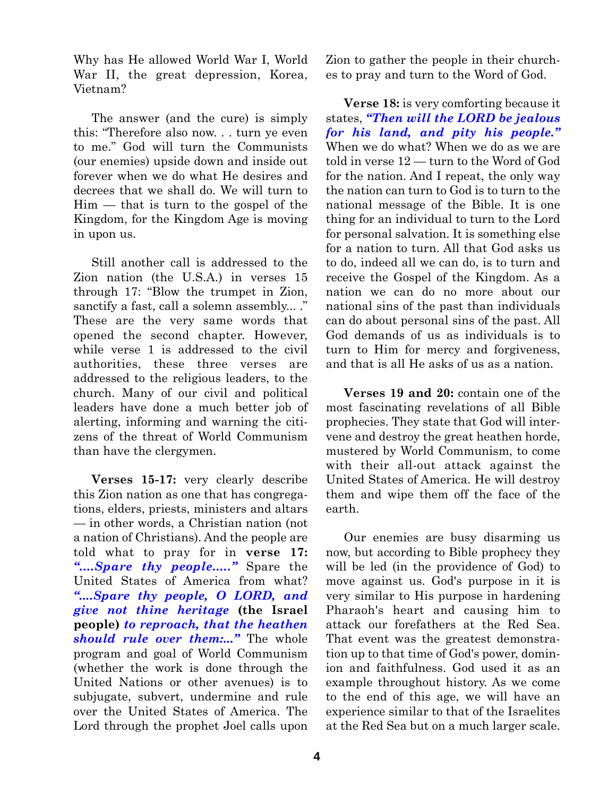Why has He allowed World War I, World War II, the great depression, Korea, Vietnam?

The answer (and the cure) is simply this: "Therefore also now. . . turn ye even to me." God will turn the Communists (our enemies) upside down and inside out forever when we do what He desires and decrees that we shall do. We will turn to Him — that is turn to the gospel of the Kingdom, for the Kingdom Age is moving in upon us.

Still another call is addressed to the Zion nation (the U.S.A.) in verses 15 through 17: "Blow the trumpet in Zion, sanctify a fast, call a solemn assembly... ." These are the very same words that opened the second chapter. However, while verse 1 is addressed to the civil authorities, these three verses are addressed to the religious leaders, to the church. Many of our civil and political leaders have done a much better job of alerting, informing and warning the citizens of the threat of World Communism than have the clergymen.

**Verses 15-17:** very clearly describe this Zion nation as one that has congregations, elders, priests, ministers and altars — in other words, a Christian nation (not a nation of Christians). And the people are told what to pray for in **verse 17:** *"....Spare thy people....."* Spare the United States of America from what? *"....Spare thy people, O LORD, and give not thine heritage* **(the Israel people)** *to reproach, that the heathen should rule over them:..."* The whole program and goal of World Communism (whether the work is done through the United Nations or other avenues) is to subjugate, subvert, undermine and rule over the United States of America. The Lord through the prophet Joel calls upon

Zion to gather the people in their churches to pray and turn to the Word of God.

**Verse 18:** is very comforting because it states, *"Then will the LORD be jealous for his land, and pity his people."* When we do what? When we do as we are told in verse 12 — turn to the Word of God for the nation. And I repeat, the only way the nation can turn to God is to turn to the national message of the Bible. It is one thing for an individual to turn to the Lord for personal salvation. It is something else for a nation to turn. All that God asks us to do, indeed all we can do, is to turn and receive the Gospel of the Kingdom. As a nation we can do no more about our national sins of the past than individuals can do about personal sins of the past. All God demands of us as individuals is to turn to Him for mercy and forgiveness, and that is all He asks of us as a nation.

**Verses 19 and 20:** contain one of the most fascinating revelations of all Bible prophecies. They state that God will intervene and destroy the great heathen horde, mustered by World Communism, to come with their all-out attack against the United States of America. He will destroy them and wipe them off the face of the earth.

Our enemies are busy disarming us now, but according to Bible prophecy they will be led (in the providence of God) to move against us. God's purpose in it is very similar to His purpose in hardening Pharaoh's heart and causing him to attack our forefathers at the Red Sea. That event was the greatest demonstration up to that time of God's power, dominion and faithfulness. God used it as an example throughout history. As we come to the end of this age, we will have an experience similar to that of the Israelites at the Red Sea but on a much larger scale.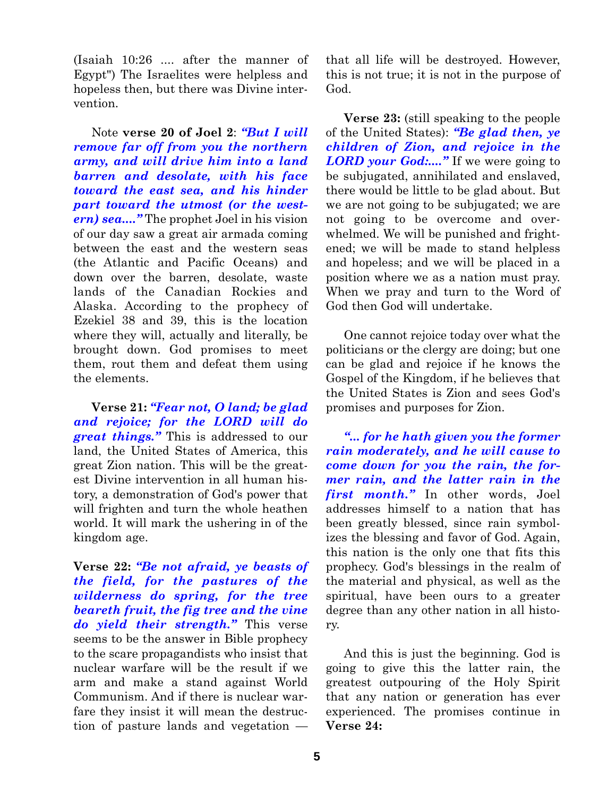(Isaiah 10:26 .... after the manner of Egypt") The Israelites were helpless and hopeless then, but there was Divine intervention.

Note **verse 20 of Joel 2**: *"But I will remove far off from you the northern army, and will drive him into a land barren and desolate, with his face toward the east sea, and his hinder part toward the utmost (or the western) sea...."* The prophet Joel in his vision of our day saw a great air armada coming between the east and the western seas (the Atlantic and Pacific Oceans) and down over the barren, desolate, waste lands of the Canadian Rockies and Alaska. According to the prophecy of Ezekiel 38 and 39, this is the location where they will, actually and literally, be brought down. God promises to meet them, rout them and defeat them using the elements.

**Verse 21:** *"Fear not, O land; be glad and rejoice; for the LORD will do great things."* This is addressed to our land, the United States of America, this great Zion nation. This will be the greatest Divine intervention in all human history, a demonstration of God's power that will frighten and turn the whole heathen world. It will mark the ushering in of the kingdom age.

**Verse 22:** *"Be not afraid, ye beasts of the field, for the pastures of the wilderness do spring, for the tree beareth fruit, the fig tree and the vine do yield their strength."* This verse seems to be the answer in Bible prophecy to the scare propagandists who insist that nuclear warfare will be the result if we arm and make a stand against World Communism. And if there is nuclear warfare they insist it will mean the destruction of pasture lands and vegetation —

that all life will be destroyed. However, this is not true; it is not in the purpose of God.

**Verse 23:** (still speaking to the people of the United States): *"Be glad then, ye children of Zion, and rejoice in the LORD your God:...."* If we were going to be subjugated, annihilated and enslaved, there would be little to be glad about. But we are not going to be subjugated; we are not going to be overcome and overwhelmed. We will be punished and frightened; we will be made to stand helpless and hopeless; and we will be placed in a position where we as a nation must pray. When we pray and turn to the Word of God then God will undertake.

One cannot rejoice today over what the politicians or the clergy are doing; but one can be glad and rejoice if he knows the Gospel of the Kingdom, if he believes that the United States is Zion and sees God's promises and purposes for Zion.

*"... for he hath given you the former rain moderately, and he will cause to come down for you the rain, the former rain, and the latter rain in the first month."* In other words, Joel addresses himself to a nation that has been greatly blessed, since rain symbolizes the blessing and favor of God. Again, this nation is the only one that fits this prophecy. God's blessings in the realm of the material and physical, as well as the spiritual, have been ours to a greater degree than any other nation in all history.

And this is just the beginning. God is going to give this the latter rain, the greatest outpouring of the Holy Spirit that any nation or generation has ever experienced. The promises continue in **Verse 24:**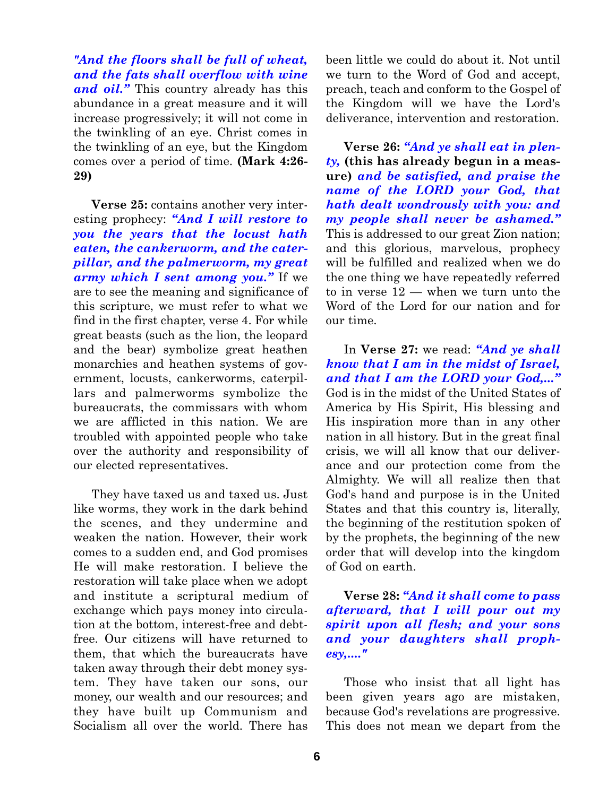*"And the floors shall be full of wheat, and the fats shall overflow with wine and oil."* This country already has this abundance in a great measure and it will increase progressively; it will not come in the twinkling of an eye. Christ comes in the twinkling of an eye, but the Kingdom comes over a period of time. **(Mark 4:26- 29)**

**Verse 25:** contains another very interesting prophecy: *"And I will restore to you the years that the locust hath eaten, the cankerworm, and the caterpillar, and the palmerworm, my great army which I sent among you."* If we are to see the meaning and significance of this scripture, we must refer to what we find in the first chapter, verse 4. For while great beasts (such as the lion, the leopard and the bear) symbolize great heathen monarchies and heathen systems of government, locusts, cankerworms, caterpillars and palmerworms symbolize the bureaucrats, the commissars with whom we are afflicted in this nation. We are troubled with appointed people who take over the authority and responsibility of our elected representatives.

They have taxed us and taxed us. Just like worms, they work in the dark behind the scenes, and they undermine and weaken the nation. However, their work comes to a sudden end, and God promises He will make restoration. I believe the restoration will take place when we adopt and institute a scriptural medium of exchange which pays money into circulation at the bottom, interest-free and debtfree. Our citizens will have returned to them, that which the bureaucrats have taken away through their debt money system. They have taken our sons, our money, our wealth and our resources; and they have built up Communism and Socialism all over the world. There has

been little we could do about it. Not until we turn to the Word of God and accept, preach, teach and conform to the Gospel of the Kingdom will we have the Lord's deliverance, intervention and restoration.

**Verse 26:** *"And ye shall eat in plenty,* **(this has already begun in a measure)** *and be satisfied, and praise the name of the LORD your God, that hath dealt wondrously with you: and my people shall never be ashamed."* This is addressed to our great Zion nation; and this glorious, marvelous, prophecy will be fulfilled and realized when we do the one thing we have repeatedly referred to in verse 12 — when we turn unto the Word of the Lord for our nation and for our time.

In **Verse 27:** we read: *"And ye shall know that I am in the midst of Israel, and that I am the LORD your God,..."* God is in the midst of the United States of America by His Spirit, His blessing and His inspiration more than in any other nation in all history. But in the great final crisis, we will all know that our deliverance and our protection come from the Almighty. We will all realize then that God's hand and purpose is in the United States and that this country is, literally, the beginning of the restitution spoken of by the prophets, the beginning of the new order that will develop into the kingdom of God on earth.

#### **Verse 28:** *"And it shall come to pass afterward, that I will pour out my spirit upon all flesh; and your sons and your daughters shall prophesy,...."*

Those who insist that all light has been given years ago are mistaken, because God's revelations are progressive. This does not mean we depart from the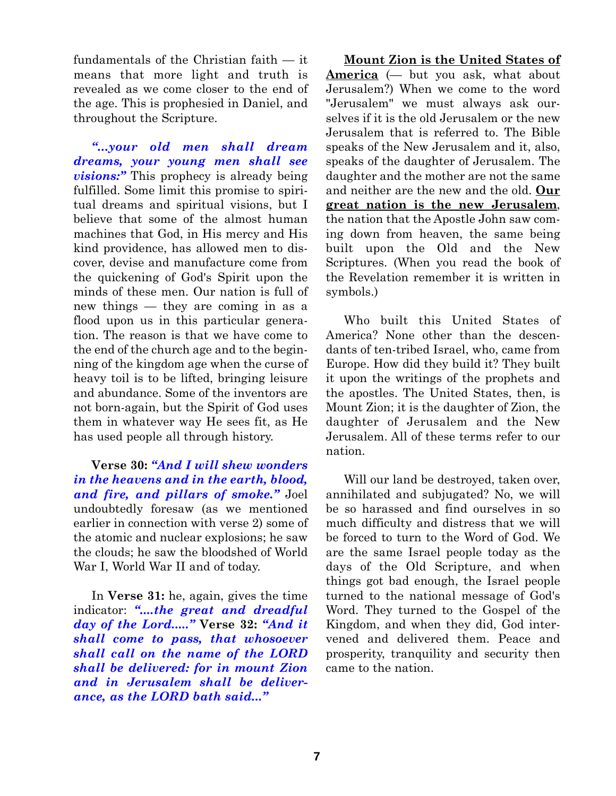fundamentals of the Christian faith — it means that more light and truth is revealed as we come closer to the end of the age. This is prophesied in Daniel, and throughout the Scripture.

*"...your old men shall dream dreams, your young men shall see visions:"* This prophecy is already being fulfilled. Some limit this promise to spiritual dreams and spiritual visions, but I believe that some of the almost human machines that God, in His mercy and His kind providence, has allowed men to discover, devise and manufacture come from the quickening of God's Spirit upon the minds of these men. Our nation is full of new things — they are coming in as a flood upon us in this particular generation. The reason is that we have come to the end of the church age and to the beginning of the kingdom age when the curse of heavy toil is to be lifted, bringing leisure and abundance. Some of the inventors are not born-again, but the Spirit of God uses them in whatever way He sees fit, as He has used people all through history.

**Verse 30:** *"And I will shew wonders in the heavens and in the earth, blood, and fire, and pillars of smoke."* Joel undoubtedly foresaw (as we mentioned earlier in connection with verse 2) some of the atomic and nuclear explosions; he saw the clouds; he saw the bloodshed of World War I, World War II and of today.

In **Verse 31:** he, again, gives the time indicator: *"....the great and dreadful day of the Lord....."* **Verse 32:** *"And it shall come to pass, that whosoever shall call on the name of the LORD shall be delivered: for in mount Zion and in Jerusalem shall be deliverance, as the LORD bath said..."*

**Mount Zion is the United States of America** (— but you ask, what about Jerusalem?) When we come to the word "Jerusalem" we must always ask ourselves if it is the old Jerusalem or the new Jerusalem that is referred to. The Bible speaks of the New Jerusalem and it, also, speaks of the daughter of Jerusalem. The daughter and the mother are not the same and neither are the new and the old. **Our great nation is the new Jerusalem**, the nation that the Apostle John saw coming down from heaven, the same being built upon the Old and the New Scriptures. (When you read the book of the Revelation remember it is written in symbols.)

Who built this United States of America? None other than the descendants of ten-tribed Israel, who, came from Europe. How did they build it? They built it upon the writings of the prophets and the apostles. The United States, then, is Mount Zion; it is the daughter of Zion, the daughter of Jerusalem and the New Jerusalem. All of these terms refer to our nation.

Will our land be destroyed, taken over, annihilated and subjugated? No, we will be so harassed and find ourselves in so much difficulty and distress that we will be forced to turn to the Word of God. We are the same Israel people today as the days of the Old Scripture, and when things got bad enough, the Israel people turned to the national message of God's Word. They turned to the Gospel of the Kingdom, and when they did, God intervened and delivered them. Peace and prosperity, tranquility and security then came to the nation.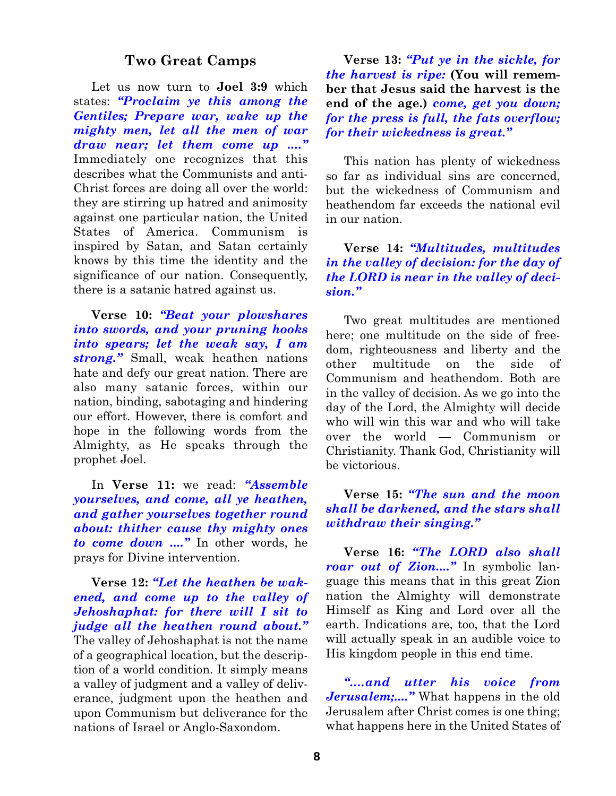#### **Two Great Camps**

Let us now turn to **Joel 3:9** which states: *"Proclaim ye this among the Gentiles; Prepare war, wake up the mighty men, let all the men of war draw near; let them come up ...."* Immediately one recognizes that this describes what the Communists and anti-Christ forces are doing all over the world: they are stirring up hatred and animosity against one particular nation, the United States of America. Communism is inspired by Satan, and Satan certainly knows by this time the identity and the significance of our nation. Consequently, there is a satanic hatred against us.

**Verse 10:** *"Beat your plowshares into swords, and your pruning hooks into spears; let the weak say, I am strong."* Small, weak heathen nations hate and defy our great nation. There are also many satanic forces, within our nation, binding, sabotaging and hindering our effort. However, there is comfort and hope in the following words from the Almighty, as He speaks through the prophet Joel.

In **Verse 11:** we read: *"Assemble yourselves, and come, all ye heathen, and gather yourselves together round about: thither cause thy mighty ones to come down ...."* In other words, he prays for Divine intervention.

**Verse 12:** *"Let the heathen be wakened, and come up to the valley of Jehoshaphat: for there will I sit to judge all the heathen round about."* The valley of Jehoshaphat is not the name of a geographical location, but the description of a world condition. It simply means a valley of judgment and a valley of deliverance, judgment upon the heathen and upon Communism but deliverance for the nations of Israel or Anglo-Saxondom.

**Verse 13:** *"Put ye in the sickle, for the harvest is ripe:* **(You will remember that Jesus said the harvest is the end of the age.)** *come, get you down; for the press is full, the fats overflow; for their wickedness is great."*

This nation has plenty of wickedness so far as individual sins are concerned, but the wickedness of Communism and heathendom far exceeds the national evil in our nation.

#### **Verse 14:** *"Multitudes, multitudes in the valley of decision: for the day of the LORD is near in the valley of decision."*

Two great multitudes are mentioned here; one multitude on the side of freedom, righteousness and liberty and the other multitude on the side of Communism and heathendom. Both are in the valley of decision. As we go into the day of the Lord, the Almighty will decide who will win this war and who will take over the world — Communism or Christianity. Thank God, Christianity will be victorious.

#### **Verse 15:** *"The sun and the moon shall be darkened, and the stars shall withdraw their singing."*

**Verse 16:** *"The LORD also shall roar out of Zion...."* In symbolic language this means that in this great Zion nation the Almighty will demonstrate Himself as King and Lord over all the earth. Indications are, too, that the Lord will actually speak in an audible voice to His kingdom people in this end time.

*"....and utter his voice from Jerusalem;...."* What happens in the old Jerusalem after Christ comes is one thing; what happens here in the United States of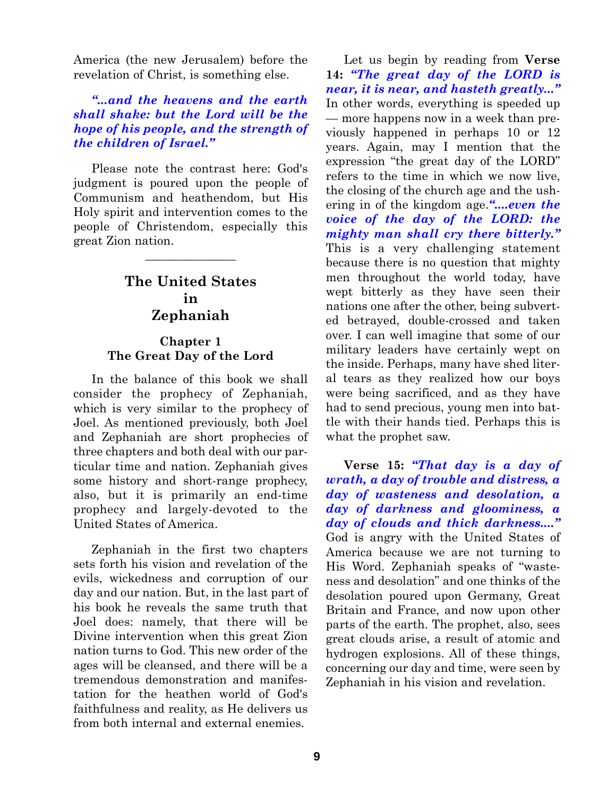America (the new Jerusalem) before the revelation of Christ, is something else.

#### *"...and the heavens and the earth shall shake: but the Lord will be the hope of his people, and the strength of the children of Israel."*

Please note the contrast here: God's judgment is poured upon the people of Communism and heathendom, but His Holy spirit and intervention comes to the people of Christendom, especially this great Zion nation.

#### **The United States in Zephaniah**

 $\overline{\phantom{a}}$  , where  $\overline{\phantom{a}}$ 

#### **Chapter 1 The Great Day of the Lord**

In the balance of this book we shall consider the prophecy of Zephaniah, which is very similar to the prophecy of Joel. As mentioned previously, both Joel and Zephaniah are short prophecies of three chapters and both deal with our particular time and nation. Zephaniah gives some history and short-range prophecy, also, but it is primarily an end-time prophecy and largely-devoted to the United States of America.

Zephaniah in the first two chapters sets forth his vision and revelation of the evils, wickedness and corruption of our day and our nation. But, in the last part of his book he reveals the same truth that Joel does: namely, that there will be Divine intervention when this great Zion nation turns to God. This new order of the ages will be cleansed, and there will be a tremendous demonstration and manifestation for the heathen world of God's faithfulness and reality, as He delivers us from both internal and external enemies.

Let us begin by reading from **Verse 14:** *"The great day of the LORD is near, it is near, and hasteth greatly..."* In other words, everything is speeded up — more happens now in a week than previously happened in perhaps 10 or 12 years. Again, may I mention that the expression "the great day of the LORD" refers to the time in which we now live, the closing of the church age and the ushering in of the kingdom age.*"....even the voice of the day of the LORD: the mighty man shall cry there bitterly."* This is a very challenging statement because there is no question that mighty men throughout the world today, have wept bitterly as they have seen their nations one after the other, being subverted betrayed, double-crossed and taken over. I can well imagine that some of our military leaders have certainly wept on the inside. Perhaps, many have shed literal tears as they realized how our boys were being sacrificed, and as they have had to send precious, young men into battle with their hands tied. Perhaps this is what the prophet saw.

**Verse 15:** *"That day is a day of wrath, a day of trouble and distress, a day of wasteness and desolation, a day of darkness and gloominess, a day of clouds and thick darkness...."* God is angry with the United States of America because we are not turning to His Word. Zephaniah speaks of "wasteness and desolation" and one thinks of the desolation poured upon Germany, Great Britain and France, and now upon other parts of the earth. The prophet, also, sees great clouds arise, a result of atomic and hydrogen explosions. All of these things, concerning our day and time, were seen by Zephaniah in his vision and revelation.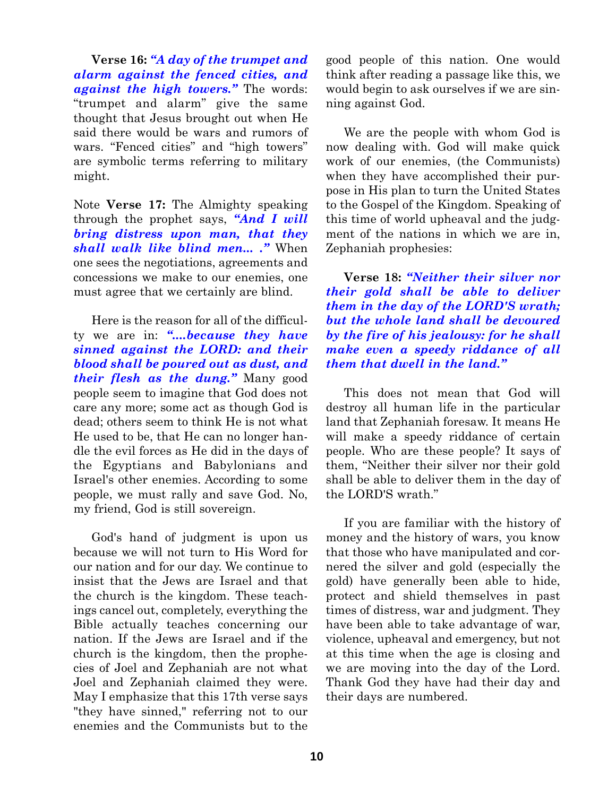**Verse 16:** *"A day of the trumpet and alarm against the fenced cities, and against the high towers."* The words: "trumpet and alarm" give the same thought that Jesus brought out when He said there would be wars and rumors of wars. "Fenced cities" and "high towers" are symbolic terms referring to military might.

Note **Verse 17:** The Almighty speaking through the prophet says, *"And I will bring distress upon man, that they shall walk like blind men... ."* When one sees the negotiations, agreements and concessions we make to our enemies, one must agree that we certainly are blind.

Here is the reason for all of the difficulty we are in: *"....because they have sinned against the LORD: and their blood shall be poured out as dust, and their flesh as the dung."* Many good people seem to imagine that God does not care any more; some act as though God is dead; others seem to think He is not what He used to be, that He can no longer handle the evil forces as He did in the days of the Egyptians and Babylonians and Israel's other enemies. According to some people, we must rally and save God. No, my friend, God is still sovereign.

God's hand of judgment is upon us because we will not turn to His Word for our nation and for our day. We continue to insist that the Jews are Israel and that the church is the kingdom. These teachings cancel out, completely, everything the Bible actually teaches concerning our nation. If the Jews are Israel and if the church is the kingdom, then the prophecies of Joel and Zephaniah are not what Joel and Zephaniah claimed they were. May I emphasize that this 17th verse says "they have sinned," referring not to our enemies and the Communists but to the good people of this nation. One would think after reading a passage like this, we would begin to ask ourselves if we are sinning against God.

We are the people with whom God is now dealing with. God will make quick work of our enemies, (the Communists) when they have accomplished their purpose in His plan to turn the United States to the Gospel of the Kingdom. Speaking of this time of world upheaval and the judgment of the nations in which we are in, Zephaniah prophesies:

**Verse 18:** *"Neither their silver nor their gold shall be able to deliver them in the day of the LORD'S wrath; but the whole land shall be devoured by the fire of his jealousy: for he shall make even a speedy riddance of all them that dwell in the land."*

This does not mean that God will destroy all human life in the particular land that Zephaniah foresaw. It means He will make a speedy riddance of certain people. Who are these people? It says of them, "Neither their silver nor their gold shall be able to deliver them in the day of the LORD'S wrath."

If you are familiar with the history of money and the history of wars, you know that those who have manipulated and cornered the silver and gold (especially the gold) have generally been able to hide, protect and shield themselves in past times of distress, war and judgment. They have been able to take advantage of war, violence, upheaval and emergency, but not at this time when the age is closing and we are moving into the day of the Lord. Thank God they have had their day and their days are numbered.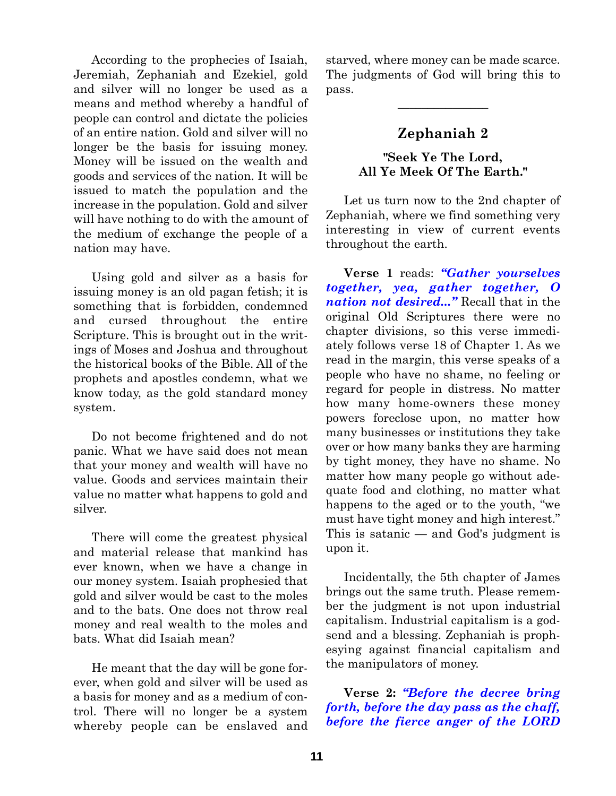According to the prophecies of Isaiah, Jeremiah, Zephaniah and Ezekiel, gold and silver will no longer be used as a means and method whereby a handful of people can control and dictate the policies of an entire nation. Gold and silver will no longer be the basis for issuing money. Money will be issued on the wealth and goods and services of the nation. It will be issued to match the population and the increase in the population. Gold and silver will have nothing to do with the amount of the medium of exchange the people of a nation may have.

Using gold and silver as a basis for issuing money is an old pagan fetish; it is something that is forbidden, condemned and cursed throughout the entire Scripture. This is brought out in the writings of Moses and Joshua and throughout the historical books of the Bible. All of the prophets and apostles condemn, what we know today, as the gold standard money system.

Do not become frightened and do not panic. What we have said does not mean that your money and wealth will have no value. Goods and services maintain their value no matter what happens to gold and silver.

There will come the greatest physical and material release that mankind has ever known, when we have a change in our money system. Isaiah prophesied that gold and silver would be cast to the moles and to the bats. One does not throw real money and real wealth to the moles and bats. What did Isaiah mean?

He meant that the day will be gone forever, when gold and silver will be used as a basis for money and as a medium of control. There will no longer be a system whereby people can be enslaved and starved, where money can be made scarce. The judgments of God will bring this to pass.

 $\overline{\phantom{a}}$  , where  $\overline{\phantom{a}}$ 

#### **Zephaniah 2**

#### **"Seek Ye The Lord, All Ye Meek Of The Earth."**

Let us turn now to the 2nd chapter of Zephaniah, where we find something very interesting in view of current events throughout the earth.

**Verse 1** reads: *"Gather yourselves together, yea, gather together, O nation not desired..."* Recall that in the original Old Scriptures there were no chapter divisions, so this verse immediately follows verse 18 of Chapter 1. As we read in the margin, this verse speaks of a people who have no shame, no feeling or regard for people in distress. No matter how many home-owners these money powers foreclose upon, no matter how many businesses or institutions they take over or how many banks they are harming by tight money, they have no shame. No matter how many people go without adequate food and clothing, no matter what happens to the aged or to the youth, "we must have tight money and high interest." This is satanic — and God's judgment is upon it.

Incidentally, the 5th chapter of James brings out the same truth. Please remember the judgment is not upon industrial capitalism. Industrial capitalism is a godsend and a blessing. Zephaniah is prophesying against financial capitalism and the manipulators of money.

#### **Verse 2:** *"Before the decree bring forth, before the day pass as the chaff, before the fierce anger of the LORD*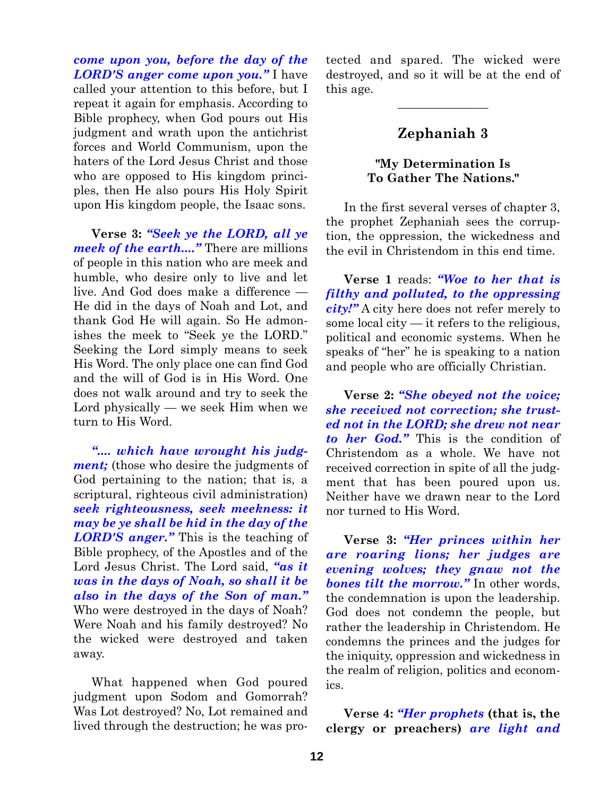*come upon you, before the day of the LORD'S anger come upon you."* I have called your attention to this before, but I repeat it again for emphasis. According to Bible prophecy, when God pours out His judgment and wrath upon the antichrist forces and World Communism, upon the haters of the Lord Jesus Christ and those who are opposed to His kingdom principles, then He also pours His Holy Spirit upon His kingdom people, the Isaac sons.

**Verse 3:** *"Seek ye the LORD, all ye meek of the earth...."* There are millions of people in this nation who are meek and humble, who desire only to live and let live. And God does make a difference — He did in the days of Noah and Lot, and thank God He will again. So He admonishes the meek to "Seek ye the LORD." Seeking the Lord simply means to seek His Word. The only place one can find God and the will of God is in His Word. One does not walk around and try to seek the Lord physically — we seek Him when we turn to His Word.

*".... which have wrought his judgment;* (those who desire the judgments of God pertaining to the nation; that is, a scriptural, righteous civil administration) *seek righteousness, seek meekness: it may be ye shall be hid in the day of the LORD'S anger."* This is the teaching of Bible prophecy, of the Apostles and of the Lord Jesus Christ. The Lord said, *"as it was in the days of Noah, so shall it be also in the days of the Son of man."* Who were destroyed in the days of Noah? Were Noah and his family destroyed? No the wicked were destroyed and taken away.

What happened when God poured judgment upon Sodom and Gomorrah? Was Lot destroyed? No, Lot remained and lived through the destruction; he was protected and spared. The wicked were destroyed, and so it will be at the end of this age.

#### **Zephaniah 3**

 $\overline{\phantom{a}}$  , where  $\overline{\phantom{a}}$ 

#### **"My Determination Is To Gather The Nations."**

In the first several verses of chapter 3, the prophet Zephaniah sees the corruption, the oppression, the wickedness and the evil in Christendom in this end time.

**Verse 1** reads: *"Woe to her that is filthy and polluted, to the oppressing city!"* A city here does not refer merely to some local city — it refers to the religious, political and economic systems. When he speaks of "her" he is speaking to a nation and people who are officially Christian.

**Verse 2:** *"She obeyed not the voice; she received not correction; she trusted not in the LORD; she drew not near to her God."* This is the condition of Christendom as a whole. We have not received correction in spite of all the judgment that has been poured upon us. Neither have we drawn near to the Lord nor turned to His Word.

**Verse 3:** *"Her princes within her are roaring lions; her judges are evening wolves; they gnaw not the bones tilt the morrow."* In other words, the condemnation is upon the leadership. God does not condemn the people, but rather the leadership in Christendom. He condemns the princes and the judges for the iniquity, oppression and wickedness in the realm of religion, politics and economics.

**Verse 4:** *"Her prophets* **(that is, the clergy or preachers)** *are light and*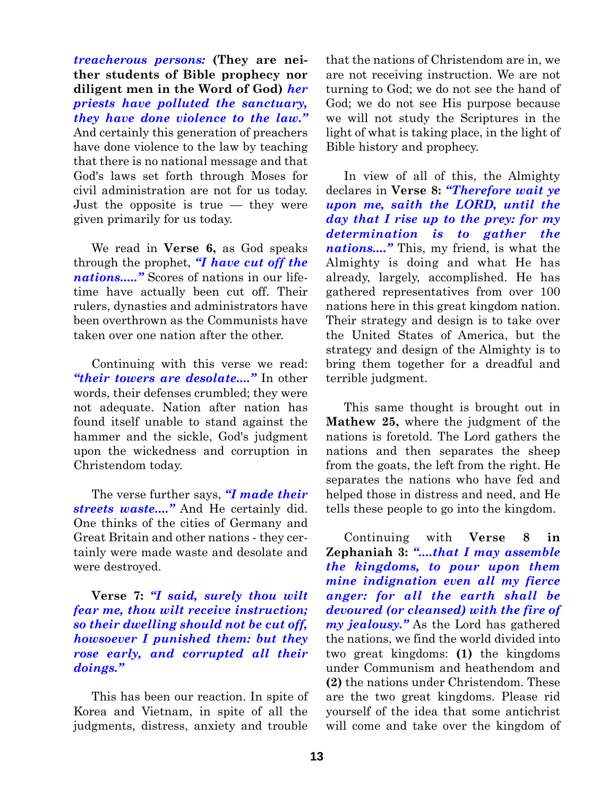*treacherous persons:* **(They are neither students of Bible prophecy nor diligent men in the Word of God)** *her priests have polluted the sanctuary, they have done violence to the law."* And certainly this generation of preachers have done violence to the law by teaching that there is no national message and that God's laws set forth through Moses for civil administration are not for us today. Just the opposite is true — they were given primarily for us today.

We read in **Verse 6,** as God speaks through the prophet, *"I have cut off the nations....."* Scores of nations in our lifetime have actually been cut off. Their rulers, dynasties and administrators have been overthrown as the Communists have taken over one nation after the other.

Continuing with this verse we read: *"their towers are desolate...."* In other words, their defenses crumbled; they were not adequate. Nation after nation has found itself unable to stand against the hammer and the sickle, God's judgment upon the wickedness and corruption in Christendom today.

The verse further says, *"I made their streets waste...."* And He certainly did. One thinks of the cities of Germany and Great Britain and other nations - they certainly were made waste and desolate and were destroyed.

#### **Verse 7:** *"I said, surely thou wilt fear me, thou wilt receive instruction; so their dwelling should not be cut off, howsoever I punished them: but they rose early, and corrupted all their doings."*

This has been our reaction. In spite of Korea and Vietnam, in spite of all the judgments, distress, anxiety and trouble

that the nations of Christendom are in, we are not receiving instruction. We are not turning to God; we do not see the hand of God; we do not see His purpose because we will not study the Scriptures in the light of what is taking place, in the light of Bible history and prophecy.

In view of all of this, the Almighty declares in **Verse 8:** *"Therefore wait ye upon me, saith the LORD, until the day that I rise up to the prey: for my determination is to gather the nations...."* This, my friend, is what the Almighty is doing and what He has already, largely, accomplished. He has gathered representatives from over 100 nations here in this great kingdom nation. Their strategy and design is to take over the United States of America, but the strategy and design of the Almighty is to bring them together for a dreadful and terrible judgment.

This same thought is brought out in **Mathew 25,** where the judgment of the nations is foretold. The Lord gathers the nations and then separates the sheep from the goats, the left from the right. He separates the nations who have fed and helped those in distress and need, and He tells these people to go into the kingdom.

Continuing with **Verse 8 in Zephaniah 3:** *"....that I may assemble the kingdoms, to pour upon them mine indignation even all my fierce anger: for all the earth shall be devoured (or cleansed) with the fire of my jealousy."* As the Lord has gathered the nations, we find the world divided into two great kingdoms: **(1)** the kingdoms under Communism and heathendom and **(2)** the nations under Christendom. These are the two great kingdoms. Please rid yourself of the idea that some antichrist will come and take over the kingdom of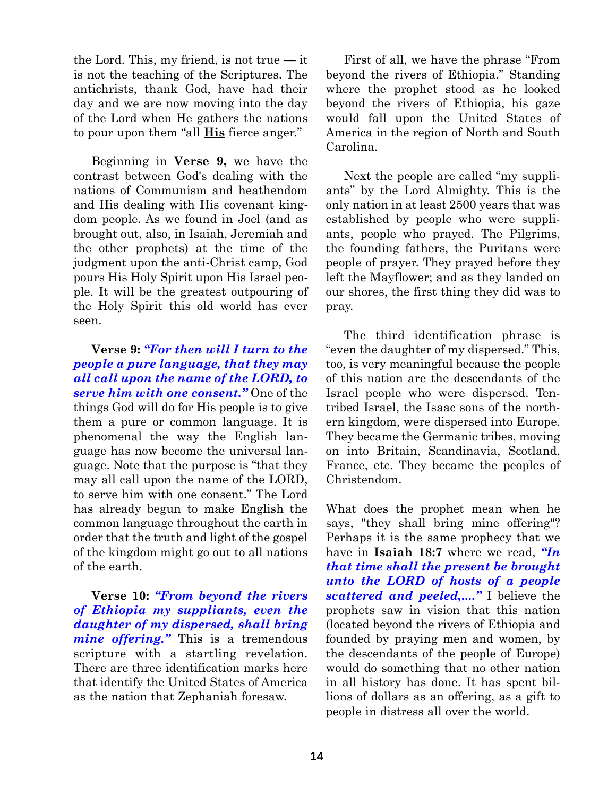the Lord. This, my friend, is not true — it is not the teaching of the Scriptures. The antichrists, thank God, have had their day and we are now moving into the day of the Lord when He gathers the nations to pour upon them "all **His** fierce anger."

Beginning in **Verse 9,** we have the contrast between God's dealing with the nations of Communism and heathendom and His dealing with His covenant kingdom people. As we found in Joel (and as brought out, also, in Isaiah, Jeremiah and the other prophets) at the time of the judgment upon the anti-Christ camp, God pours His Holy Spirit upon His Israel people. It will be the greatest outpouring of the Holy Spirit this old world has ever seen.

**Verse 9:** *"For then will I turn to the people a pure language, that they may all call upon the name of the LORD, to serve him with one consent."* One of the things God will do for His people is to give them a pure or common language. It is phenomenal the way the English language has now become the universal language. Note that the purpose is "that they may all call upon the name of the LORD, to serve him with one consent." The Lord has already begun to make English the common language throughout the earth in order that the truth and light of the gospel of the kingdom might go out to all nations of the earth.

**Verse 10:** *"From beyond the rivers of Ethiopia my suppliants, even the daughter of my dispersed, shall bring mine offering."* This is a tremendous scripture with a startling revelation. There are three identification marks here that identify the United States of America as the nation that Zephaniah foresaw.

First of all, we have the phrase "From beyond the rivers of Ethiopia." Standing where the prophet stood as he looked beyond the rivers of Ethiopia, his gaze would fall upon the United States of America in the region of North and South Carolina.

Next the people are called "my suppliants" by the Lord Almighty. This is the only nation in at least 2500 years that was established by people who were suppliants, people who prayed. The Pilgrims, the founding fathers, the Puritans were people of prayer. They prayed before they left the Mayflower; and as they landed on our shores, the first thing they did was to pray.

The third identification phrase is "even the daughter of my dispersed." This, too, is very meaningful because the people of this nation are the descendants of the Israel people who were dispersed. Tentribed Israel, the Isaac sons of the northern kingdom, were dispersed into Europe. They became the Germanic tribes, moving on into Britain, Scandinavia, Scotland, France, etc. They became the peoples of Christendom.

What does the prophet mean when he says, "they shall bring mine offering"? Perhaps it is the same prophecy that we have in **Isaiah 18:7** where we read, *"In that time shall the present be brought unto the LORD of hosts of a people scattered and peeled,...."* I believe the prophets saw in vision that this nation (located beyond the rivers of Ethiopia and founded by praying men and women, by the descendants of the people of Europe) would do something that no other nation in all history has done. It has spent billions of dollars as an offering, as a gift to people in distress all over the world.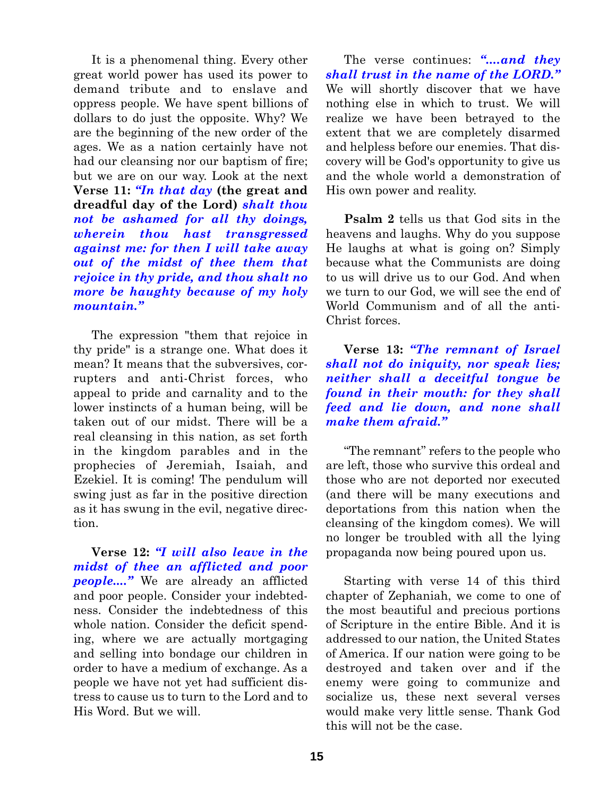It is a phenomenal thing. Every other great world power has used its power to demand tribute and to enslave and oppress people. We have spent billions of dollars to do just the opposite. Why? We are the beginning of the new order of the ages. We as a nation certainly have not had our cleansing nor our baptism of fire; but we are on our way. Look at the next **Verse 11:** *"In that day* **(the great and dreadful day of the Lord)** *shalt thou not be ashamed for all thy doings, wherein thou hast transgressed against me: for then I will take away out of the midst of thee them that rejoice in thy pride, and thou shalt no more be haughty because of my holy mountain."*

The expression "them that rejoice in thy pride" is a strange one. What does it mean? It means that the subversives, corrupters and anti-Christ forces, who appeal to pride and carnality and to the lower instincts of a human being, will be taken out of our midst. There will be a real cleansing in this nation, as set forth in the kingdom parables and in the prophecies of Jeremiah, Isaiah, and Ezekiel. It is coming! The pendulum will swing just as far in the positive direction as it has swung in the evil, negative direction.

**Verse 12:** *"I will also leave in the midst of thee an afflicted and poor people...."* We are already an afflicted and poor people. Consider your indebtedness. Consider the indebtedness of this whole nation. Consider the deficit spending, where we are actually mortgaging and selling into bondage our children in order to have a medium of exchange. As a people we have not yet had sufficient distress to cause us to turn to the Lord and to His Word. But we will.

The verse continues: *"....and they shall trust in the name of the LORD."* We will shortly discover that we have nothing else in which to trust. We will realize we have been betrayed to the extent that we are completely disarmed and helpless before our enemies. That discovery will be God's opportunity to give us and the whole world a demonstration of His own power and reality.

**Psalm 2** tells us that God sits in the heavens and laughs. Why do you suppose He laughs at what is going on? Simply because what the Communists are doing to us will drive us to our God. And when we turn to our God, we will see the end of World Communism and of all the anti-Christ forces.

**Verse 13:** *"The remnant of Israel shall not do iniquity, nor speak lies; neither shall a deceitful tongue be found in their mouth: for they shall feed and lie down, and none shall make them afraid."*

"The remnant" refers to the people who are left, those who survive this ordeal and those who are not deported nor executed (and there will be many executions and deportations from this nation when the cleansing of the kingdom comes). We will no longer be troubled with all the lying propaganda now being poured upon us.

Starting with verse 14 of this third chapter of Zephaniah, we come to one of the most beautiful and precious portions of Scripture in the entire Bible. And it is addressed to our nation, the United States of America. If our nation were going to be destroyed and taken over and if the enemy were going to communize and socialize us, these next several verses would make very little sense. Thank God this will not be the case.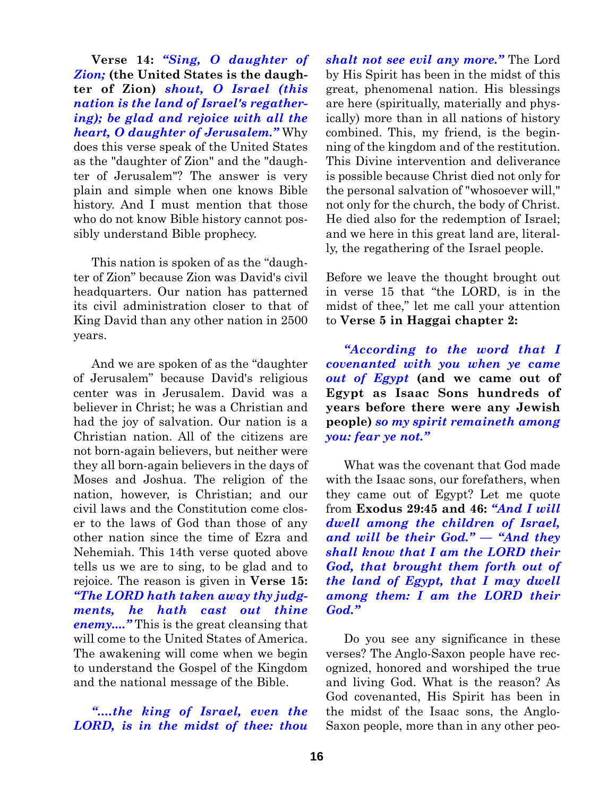**Verse 14:** *"Sing, O daughter of Zion;* **(the United States is the daughter of Zion)** *shout, O Israel (this nation is the land of Israel's regathering); be glad and rejoice with all the heart, O daughter of Jerusalem."* Why does this verse speak of the United States as the "daughter of Zion" and the "daughter of Jerusalem"? The answer is very plain and simple when one knows Bible history. And I must mention that those who do not know Bible history cannot possibly understand Bible prophecy.

This nation is spoken of as the "daughter of Zion" because Zion was David's civil headquarters. Our nation has patterned its civil administration closer to that of King David than any other nation in 2500 years.

And we are spoken of as the "daughter of Jerusalem" because David's religious center was in Jerusalem. David was a believer in Christ; he was a Christian and had the joy of salvation. Our nation is a Christian nation. All of the citizens are not born-again believers, but neither were they all born-again believers in the days of Moses and Joshua. The religion of the nation, however, is Christian; and our civil laws and the Constitution come closer to the laws of God than those of any other nation since the time of Ezra and Nehemiah. This 14th verse quoted above tells us we are to sing, to be glad and to rejoice. The reason is given in **Verse 15:** *"The LORD hath taken away thy judgments, he hath cast out thine enemy...."* This is the great cleansing that will come to the United States of America. The awakening will come when we begin to understand the Gospel of the Kingdom and the national message of the Bible.

*"....the king of Israel, even the LORD, is in the midst of thee: thou* *shalt not see evil any more."* The Lord by His Spirit has been in the midst of this great, phenomenal nation. His blessings are here (spiritually, materially and physically) more than in all nations of history combined. This, my friend, is the beginning of the kingdom and of the restitution. This Divine intervention and deliverance is possible because Christ died not only for the personal salvation of "whosoever will," not only for the church, the body of Christ. He died also for the redemption of Israel; and we here in this great land are, literally, the regathering of the Israel people.

Before we leave the thought brought out in verse 15 that "the LORD, is in the midst of thee," let me call your attention to **Verse 5 in Haggai chapter 2:**

*"According to the word that I covenanted with you when ye came out of Egypt* **(and we came out of Egypt as Isaac Sons hundreds of years before there were any Jewish people)** *so my spirit remaineth among you: fear ye not."*

What was the covenant that God made with the Isaac sons, our forefathers, when they came out of Egypt? Let me quote from **Exodus 29:45 and 46:** *"And I will dwell among the children of Israel, and will be their God." — "And they shall know that I am the LORD their God, that brought them forth out of the land of Egypt, that I may dwell among them: I am the LORD their God."*

Do you see any significance in these verses? The Anglo-Saxon people have recognized, honored and worshiped the true and living God. What is the reason? As God covenanted, His Spirit has been in the midst of the Isaac sons, the Anglo-Saxon people, more than in any other peo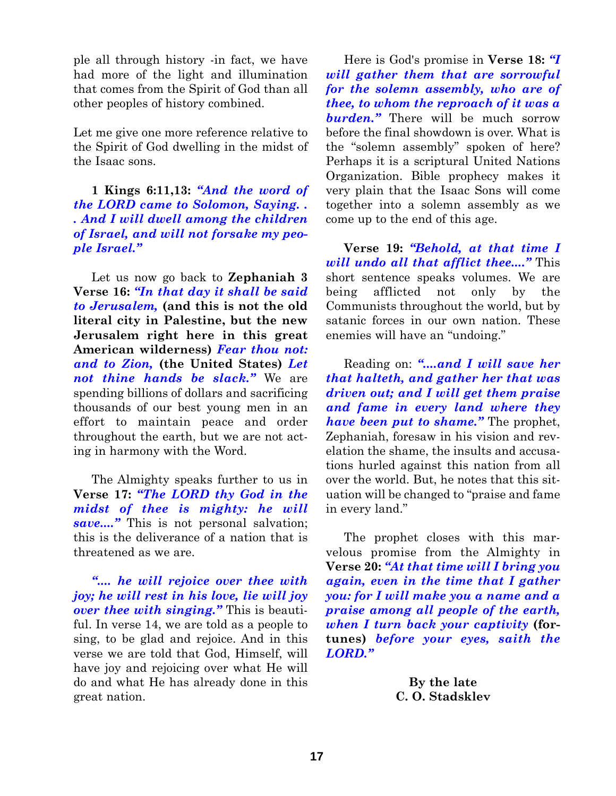ple all through history -in fact, we have had more of the light and illumination that comes from the Spirit of God than all other peoples of history combined.

Let me give one more reference relative to the Spirit of God dwelling in the midst of the Isaac sons.

**1 Kings 6:11,13:** *"And the word of the LORD came to Solomon, Saying. . . And I will dwell among the children of Israel, and will not forsake my people Israel."*

Let us now go back to **Zephaniah 3 Verse 16:** *"In that day it shall be said to Jerusalem,* **(and this is not the old literal city in Palestine, but the new Jerusalem right here in this great American wilderness)** *Fear thou not: and to Zion,* **(the United States)** *Let not thine hands be slack."* We are spending billions of dollars and sacrificing thousands of our best young men in an effort to maintain peace and order throughout the earth, but we are not acting in harmony with the Word.

The Almighty speaks further to us in **Verse 17:** *"The LORD thy God in the midst of thee is mighty: he will save...."* This is not personal salvation; this is the deliverance of a nation that is threatened as we are.

*".... he will rejoice over thee with joy; he will rest in his love, lie will joy over thee with singing."* This is beautiful. In verse 14, we are told as a people to sing, to be glad and rejoice. And in this verse we are told that God, Himself, will have joy and rejoicing over what He will do and what He has already done in this great nation.

Here is God's promise in **Verse 18:** *"I will gather them that are sorrowful for the solemn assembly, who are of thee, to whom the reproach of it was a* **burden.**" There will be much sorrow before the final showdown is over. What is the "solemn assembly" spoken of here? Perhaps it is a scriptural United Nations Organization. Bible prophecy makes it very plain that the Isaac Sons will come together into a solemn assembly as we come up to the end of this age.

**Verse 19:** *"Behold, at that time I will undo all that afflict thee...."* This short sentence speaks volumes. We are being afflicted not only by the Communists throughout the world, but by satanic forces in our own nation. These enemies will have an "undoing."

Reading on: *"....and I will save her that halteth, and gather her that was driven out; and I will get them praise and fame in every land where they have been put to shame."* The prophet, Zephaniah, foresaw in his vision and revelation the shame, the insults and accusations hurled against this nation from all over the world. But, he notes that this situation will be changed to "praise and fame in every land."

The prophet closes with this marvelous promise from the Almighty in **Verse 20:** *"At that time will I bring you again, even in the time that I gather you: for I will make you a name and a praise among all people of the earth, when I turn back your captivity* **(fortunes)** *before your eyes, saith the LORD."*

> **By the late C. O. Stadsklev**